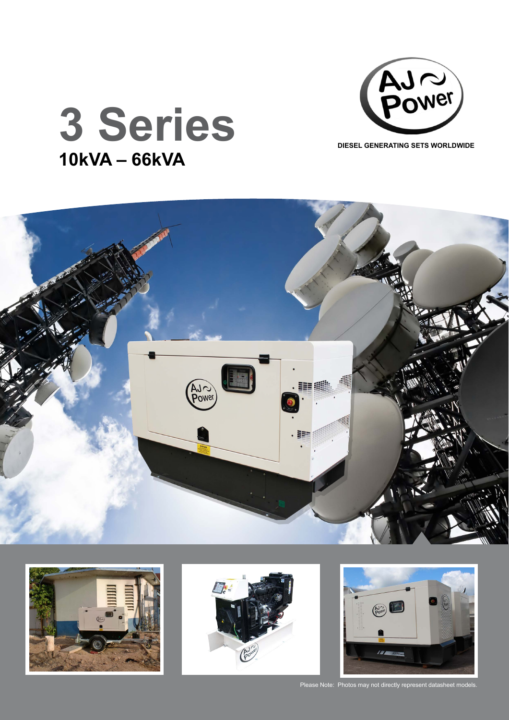



## **3 Series 10kVA – 66kVA**









Please Note: Photos may not directly represent datasheet models.